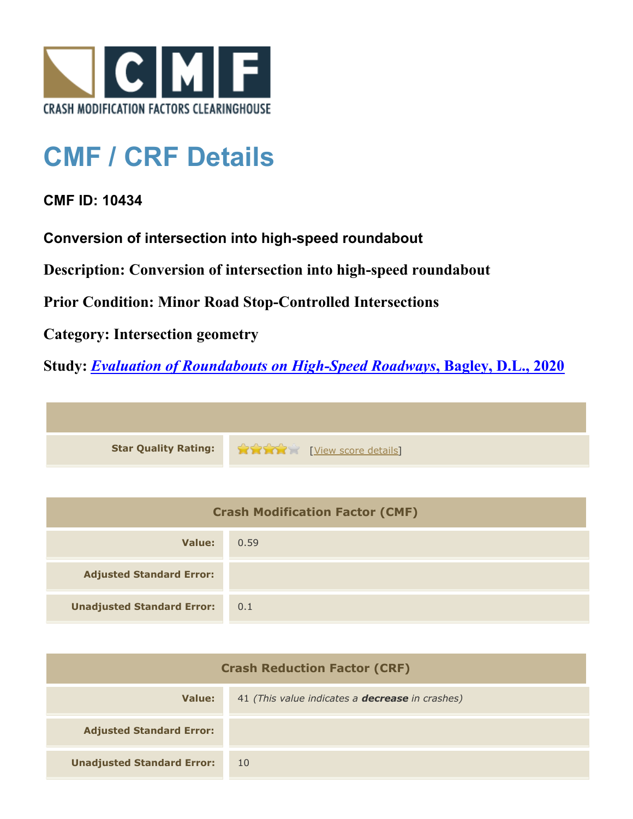

## **CMF / CRF Details**

## **CMF ID: 10434**

**Conversion of intersection into high-speed roundabout**

**Description: Conversion of intersection into high-speed roundabout**

**Prior Condition: Minor Road Stop-Controlled Intersections**

**Category: Intersection geometry**

**Study:** *[Evaluation of Roundabouts on High-Speed Roadways](http://www.cmfclearinghouse.org/study_detail.cfm?stid=605)***[, Bagley, D.L., 2020](http://www.cmfclearinghouse.org/study_detail.cfm?stid=605)**



| <b>Crash Modification Factor (CMF)</b> |      |
|----------------------------------------|------|
| Value:                                 | 0.59 |
| <b>Adjusted Standard Error:</b>        |      |
| <b>Unadjusted Standard Error:</b>      | 0.1  |

| <b>Crash Reduction Factor (CRF)</b> |                                                        |
|-------------------------------------|--------------------------------------------------------|
| Value:                              | 41 (This value indicates a <b>decrease</b> in crashes) |
| <b>Adjusted Standard Error:</b>     |                                                        |
| <b>Unadjusted Standard Error:</b>   | 10                                                     |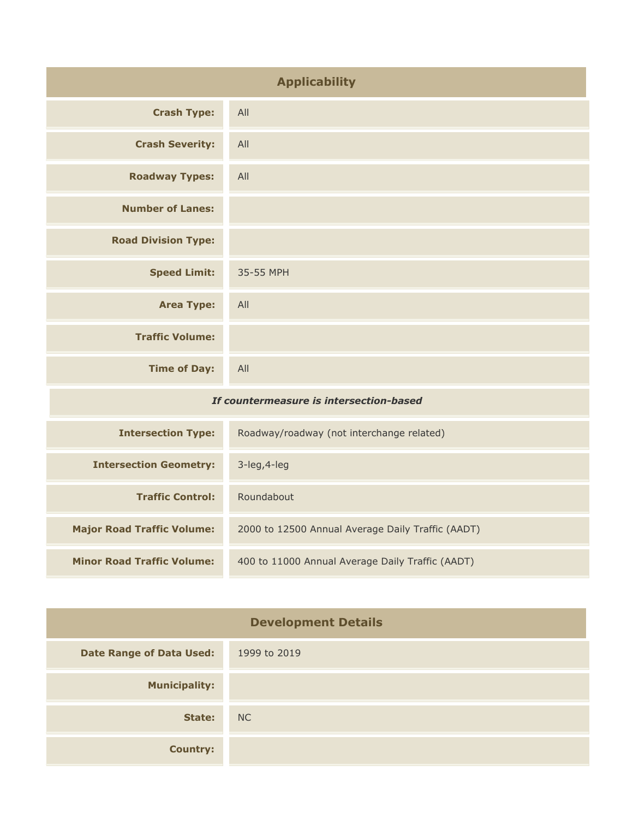| <b>Applicability</b>                    |                                           |
|-----------------------------------------|-------------------------------------------|
| <b>Crash Type:</b>                      | All                                       |
| <b>Crash Severity:</b>                  | All                                       |
| <b>Roadway Types:</b>                   | All                                       |
| <b>Number of Lanes:</b>                 |                                           |
| <b>Road Division Type:</b>              |                                           |
| <b>Speed Limit:</b>                     | 35-55 MPH                                 |
| <b>Area Type:</b>                       | All                                       |
| <b>Traffic Volume:</b>                  |                                           |
| <b>Time of Day:</b>                     | All                                       |
| If countermeasure is intersection-based |                                           |
| <b>Intersection Type:</b>               | Roadway/roadway (not interchange related) |
| <b>Intersection Geometry:</b>           | 3-leg, 4-leg                              |
| <b>Traffic Control:</b>                 | Roundabout                                |
|                                         |                                           |

| <b>Intersection Type:</b>         | Roadway/roadway (not interchange related)         |
|-----------------------------------|---------------------------------------------------|
| <b>Intersection Geometry:</b>     | $3$ -leg, $4$ -leg                                |
| <b>Traffic Control:</b>           | Roundabout                                        |
| <b>Major Road Traffic Volume:</b> | 2000 to 12500 Annual Average Daily Traffic (AADT) |
| <b>Minor Road Traffic Volume:</b> | 400 to 11000 Annual Average Daily Traffic (AADT)  |

| <b>Development Details</b>      |                |
|---------------------------------|----------------|
| <b>Date Range of Data Used:</b> | 1999 to 2019   |
| <b>Municipality:</b>            |                |
| State:                          | N <sub>C</sub> |
| <b>Country:</b>                 |                |